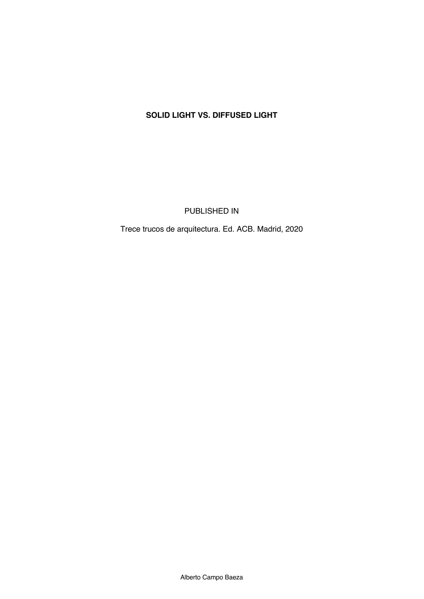## **SOLID LIGHT VS. DIFFUSED LIGHT**

PUBLISHED IN

Trece trucos de arquitectura. Ed. ACB. Madrid, 2020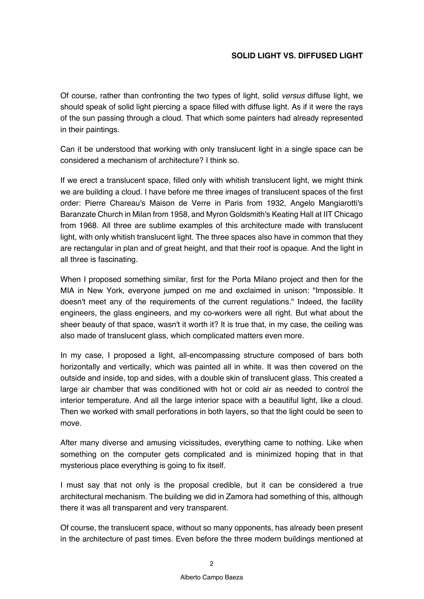## **SOLID LIGHT VS. DIFFUSED LIGHT**

Of course, rather than confronting the two types of light, solid *versus* diffuse light, we should speak of solid light piercing a space filled with diffuse light. As if it were the rays of the sun passing through a cloud. That which some painters had already represented in their paintings.

Can it be understood that working with only translucent light in a single space can be considered a mechanism of architecture? I think so.

If we erect a translucent space, filled only with whitish translucent light, we might think we are building a cloud. I have before me three images of translucent spaces of the first order: Pierre Chareau's Maison de Verre in Paris from 1932, Angelo Mangiarotti's Baranzate Church in Milan from 1958, and Myron Goldsmith's Keating Hall at IIT Chicago from 1968. All three are sublime examples of this architecture made with translucent light, with only whitish translucent light. The three spaces also have in common that they are rectangular in plan and of great height, and that their roof is opaque. And the light in all three is fascinating.

When I proposed something similar, first for the Porta Milano project and then for the MIA in New York, everyone jumped on me and exclaimed in unison: "Impossible. It doesn't meet any of the requirements of the current regulations." Indeed, the facility engineers, the glass engineers, and my co-workers were all right. But what about the sheer beauty of that space, wasn't it worth it? It is true that, in my case, the ceiling was also made of translucent glass, which complicated matters even more.

In my case, I proposed a light, all-encompassing structure composed of bars both horizontally and vertically, which was painted all in white. It was then covered on the outside and inside, top and sides, with a double skin of translucent glass. This created a large air chamber that was conditioned with hot or cold air as needed to control the interior temperature. And all the large interior space with a beautiful light, like a cloud. Then we worked with small perforations in both layers, so that the light could be seen to move.

After many diverse and amusing vicissitudes, everything came to nothing. Like when something on the computer gets complicated and is minimized hoping that in that mysterious place everything is going to fix itself.

I must say that not only is the proposal credible, but it can be considered a true architectural mechanism. The building we did in Zamora had something of this, although there it was all transparent and very transparent.

Of course, the translucent space, without so many opponents, has already been present in the architecture of past times. Even before the three modern buildings mentioned at